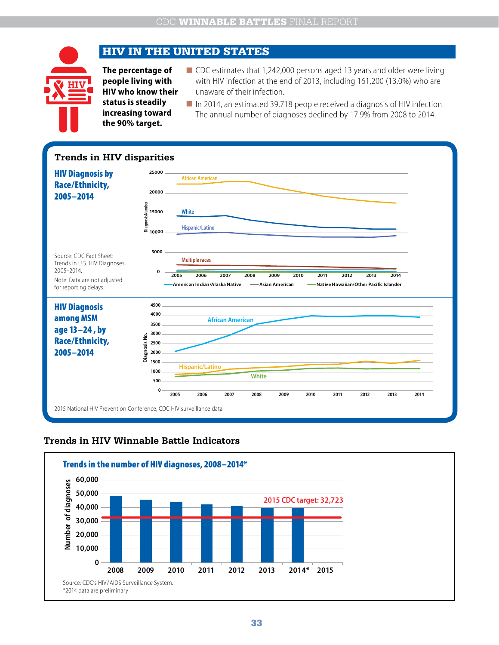# HIV IN THE UNITED STATES

**The percentage of people living with HIV who know their status is steadily increasing toward the 90% target.**

- CDC estimates that 1,242,000 persons aged 13 years and older were living with HIV infection at the end of 2013, including 161,200 (13.0%) who are unaware of their infection.
- In 2014, an estimated 39,718 people received a diagnosis of HIV infection. The annual number of diagnoses declined by 17.9% from 2008 to 2014.

#### **Trends in HIV disparities**



#### **Trends in HIV Winnable Battle Indicators**

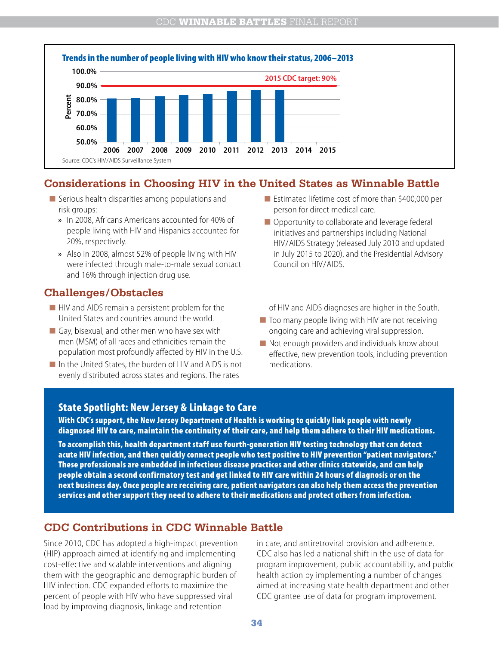

## **Considerations in Choosing HIV in the United States as Winnable Battle**

- $\blacksquare$  Serious health disparities among populations and risk groups:
	- » In 2008, Africans Americans accounted for 40% of people living with HIV and Hispanics accounted for 20%, respectively.
	- » Also in 2008, almost 52% of people living with HIV were infected through male-to-male sexual contact and 16% through injection drug use.

## **Challenges/Obstacles**

- HIV and AIDS remain a persistent problem for the United States and countries around the world.
- $\Box$  Gay, bisexual, and other men who have sex with men (MSM) of all races and ethnicities remain the population most profoundly affected by HIV in the U.S.
- In the United States, the burden of HIV and AIDS is not evenly distributed across states and regions. The rates
- Estimated lifetime cost of more than \$400,000 per person for direct medical care.
- Opportunity to collaborate and leverage federal initiatives and partnerships including National HIV/AIDS Strategy (released July 2010 and updated in July 2015 to 2020), and the Presidential Advisory Council on HIV/AIDS.

of HIV and AIDS diagnoses are higher in the South.

- $\blacksquare$  Too many people living with HIV are not receiving ongoing care and achieving viral suppression.
- $\blacksquare$  Not enough providers and individuals know about effective, new prevention tools, including prevention medications.

### State Spotlight: New Jersey & Linkage to Care

With CDC's support, the New Jersey Department of Health is working to quickly link people with newly diagnosed HIV to care, maintain the continuity of their care, and help them adhere to their HIV medications.

To accomplish this, health department staff use fourth-generation HIV testing technology that can detect acute HIV infection, and then quickly connect people who test positive to HIV prevention "patient navigators." These professionals are embedded in infectious disease practices and other clinics statewide, and can help people obtain a second confirmatory test and get linked to HIV care within 24 hours of diagnosis or on the next business day. Once people are receiving care, patient navigators can also help them access the prevention services and other support they need to adhere to their medications and protect others from infection.

# **CDC Contributions in CDC Winnable Battle**

Since 2010, CDC has adopted a high-impact prevention (HIP) approach aimed at identifying and implementing cost-effective and scalable interventions and aligning them with the geographic and demographic burden of HIV infection. CDC expanded efforts to maximize the percent of people with HIV who have suppressed viral load by improving diagnosis, linkage and retention

in care, and antiretroviral provision and adherence. CDC also has led a national shift in the use of data for program improvement, public accountability, and public health action by implementing a number of changes aimed at increasing state health department and other CDC grantee use of data for program improvement.